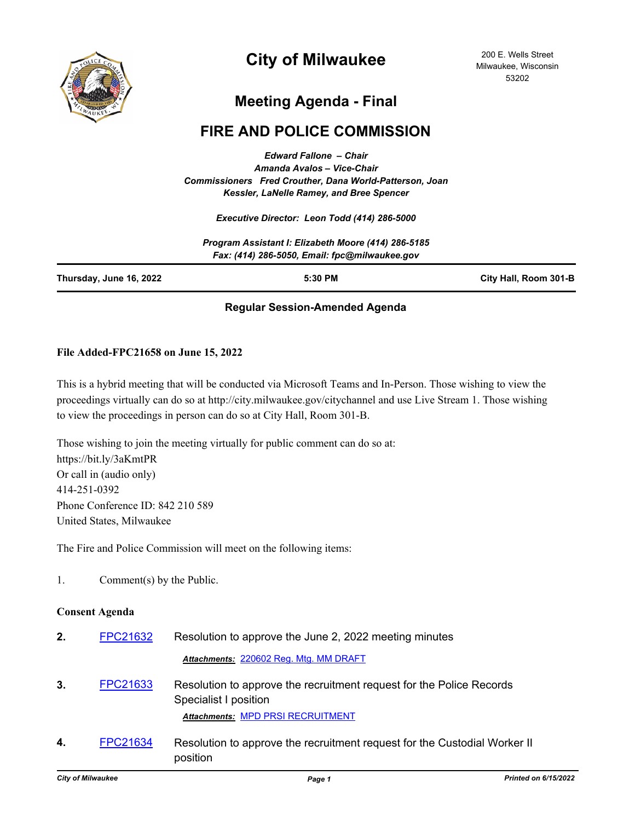

# **City of Milwaukee**

200 E. Wells Street Milwaukee, Wisconsin 53202

## **Meeting Agenda - Final**

## **FIRE AND POLICE COMMISSION**

*Edward Fallone – Chair Amanda Avalos – Vice-Chair Commissioners Fred Crouther, Dana World-Patterson, Joan Kessler, LaNelle Ramey, and Bree Spencer*

*Executive Director: Leon Todd (414) 286-5000*

|                         | Program Assistant I: Elizabeth Moore (414) 286-5185<br>Fax: (414) 286-5050, Email: fpc@milwaukee.gov |                       |
|-------------------------|------------------------------------------------------------------------------------------------------|-----------------------|
| Thursday, June 16, 2022 | 5:30 PM                                                                                              | City Hall, Room 301-B |

## **Regular Session-Amended Agenda**

### **File Added-FPC21658 on June 15, 2022**

This is a hybrid meeting that will be conducted via Microsoft Teams and In-Person. Those wishing to view the proceedings virtually can do so at http://city.milwaukee.gov/citychannel and use Live Stream 1. Those wishing to view the proceedings in person can do so at City Hall, Room 301-B.

Those wishing to join the meeting virtually for public comment can do so at: https://bit.ly/3aKmtPR Or call in (audio only) 414-251-0392 Phone Conference ID: 842 210 589 United States, Milwaukee

The Fire and Police Commission will meet on the following items:

position

1. Comment(s) by the Public.

#### **Consent Agenda**

| 2. | FPC21632 | Resolution to approve the June 2, 2022 meeting minutes                                                                             |
|----|----------|------------------------------------------------------------------------------------------------------------------------------------|
|    |          | Attachments: 220602 Reg. Mtg. MM DRAFT                                                                                             |
| 3. | FPC21633 | Resolution to approve the recruitment request for the Police Records<br>Specialist I position<br>Attachments: MPD PRSI RECRUITMENT |
| 4. | FPC21634 | Resolution to approve the recruitment request for the Custodial Worker II                                                          |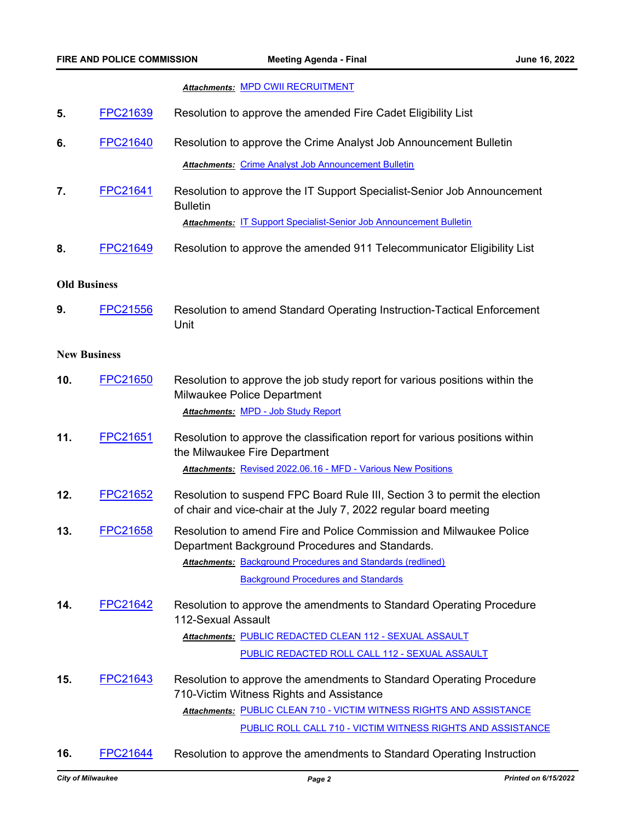#### *Attachments:* [MPD CWII RECRUITMENT](http://Milwaukee.legistar.com/gateway.aspx?M=F&ID=d2984f40-a007-41c8-aabf-5e40c8bdd4ba.pdf)

- **5.** [FPC21639](http://milwaukee.legistar.com/gateway.aspx?m=l&id=/matter.aspx?key=62385) Resolution to approve the amended Fire Cadet Eligibility List
- **6.** [FPC21640](http://milwaukee.legistar.com/gateway.aspx?m=l&id=/matter.aspx?key=62394) Resolution to approve the Crime Analyst Job Announcement Bulletin **Attachments: [Crime Analyst Job Announcement Bulletin](http://Milwaukee.legistar.com/gateway.aspx?M=F&ID=f6c52b48-f27c-4da8-b461-8594ffe6591c.pdf)**
- **7.** [FPC21641](http://milwaukee.legistar.com/gateway.aspx?m=l&id=/matter.aspx?key=62395) Resolution to approve the IT Support Specialist-Senior Job Announcement **Bulletin** *Attachments:* [IT Support Specialist-Senior Job Announcement Bulletin](http://Milwaukee.legistar.com/gateway.aspx?M=F&ID=13e5d2e5-f34b-433d-82e7-79b0a04e2dcd.pdf)
- **8.** [FPC21649](http://milwaukee.legistar.com/gateway.aspx?m=l&id=/matter.aspx?key=62412) Resolution to approve the amended 911 Telecommunicator Eligibility List

#### **Old Business**

**9.** [FPC21556](http://milwaukee.legistar.com/gateway.aspx?m=l&id=/matter.aspx?key=61967) Resolution to amend Standard Operating Instruction-Tactical Enforcement Unit

### **New Business**

- **10.** [FPC21650](http://milwaukee.legistar.com/gateway.aspx?m=l&id=/matter.aspx?key=62413) Resolution to approve the job study report for various positions within the Milwaukee Police Department *Attachments:* [MPD - Job Study Report](http://Milwaukee.legistar.com/gateway.aspx?M=F&ID=a954539b-1c21-41d2-8674-5ad40082a88a.pdf)
- **11.** [FPC21651](http://milwaukee.legistar.com/gateway.aspx?m=l&id=/matter.aspx?key=62414) Resolution to approve the classification report for various positions within the Milwaukee Fire Department *Attachments:* [Revised 2022.06.16 - MFD - Various New Positions](http://Milwaukee.legistar.com/gateway.aspx?M=F&ID=741fef42-c4c8-42c8-a01e-a01bd0bc72ca.pdf)
- **12.** [FPC21652](http://milwaukee.legistar.com/gateway.aspx?m=l&id=/matter.aspx?key=62415) Resolution to suspend FPC Board Rule III, Section 3 to permit the election of chair and vice-chair at the July 7, 2022 regular board meeting
- **13.** [FPC21658](http://milwaukee.legistar.com/gateway.aspx?m=l&id=/matter.aspx?key=62445) Resolution to amend Fire and Police Commission and Milwaukee Police Department Background Procedures and Standards. Attachments: **[Background Procedures and Standards \(redlined\)](http://Milwaukee.legistar.com/gateway.aspx?M=F&ID=3df2ed38-accb-43e8-b179-3a441910b87c.pdf)**

[Background Procedures and Standards](http://Milwaukee.legistar.com/gateway.aspx?M=F&ID=e91f3505-3cb2-48fd-a00a-828a3e074122.pdf)

**14.** [FPC21642](http://milwaukee.legistar.com/gateway.aspx?m=l&id=/matter.aspx?key=62400) Resolution to approve the amendments to Standard Operating Procedure 112-Sexual Assault

<u> Attachments: [PUBLIC REDACTED CLEAN 112 - SEXUAL ASSAULT](http://Milwaukee.legistar.com/gateway.aspx?M=F&ID=86bc9b9c-899d-41f8-99e3-e64ed1ea3fe9.pdf)</u> [PUBLIC REDACTED ROLL CALL 112 - SEXUAL ASSAULT](http://Milwaukee.legistar.com/gateway.aspx?M=F&ID=8306765b-fe3d-4a07-bad9-dd942d767df2.pdf)

- **15.** [FPC21643](http://milwaukee.legistar.com/gateway.aspx?m=l&id=/matter.aspx?key=62401) Resolution to approve the amendments to Standard Operating Procedure 710-Victim Witness Rights and Assistance <u> Attachments: [PUBLIC CLEAN 710 - VICTIM WITNESS RIGHTS AND ASSISTANCE](http://Milwaukee.legistar.com/gateway.aspx?M=F&ID=8135fa95-c809-42ea-b712-86e70416a26c.pdf)</u> [PUBLIC ROLL CALL 710 - VICTIM WITNESS RIGHTS AND ASSISTANCE](http://Milwaukee.legistar.com/gateway.aspx?M=F&ID=20eeb444-5bab-4735-b6e2-18da34cee325.pdf)
- **16.** [FPC21644](http://milwaukee.legistar.com/gateway.aspx?m=l&id=/matter.aspx?key=62402) Resolution to approve the amendments to Standard Operating Instruction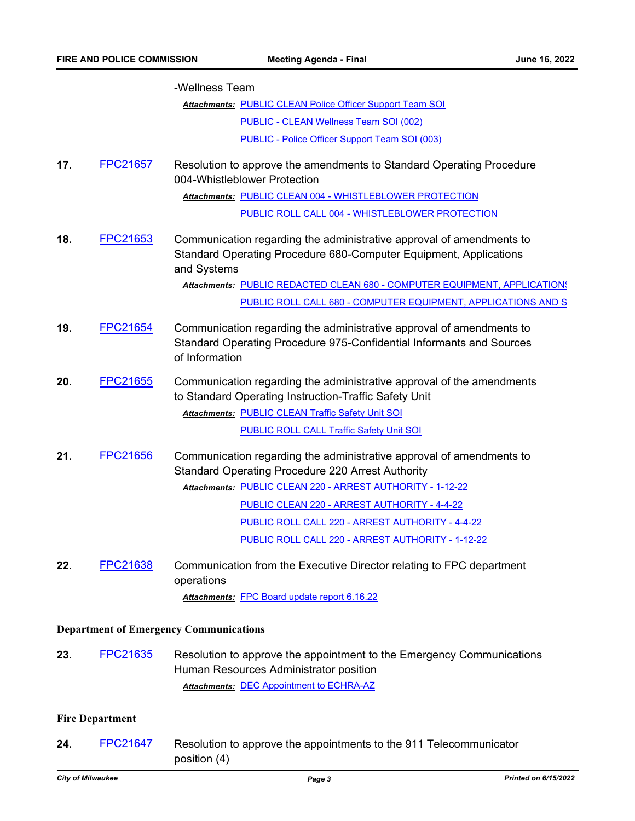|                                               |                 | -Wellness Team                                                                                                                                                                                                                                |  |
|-----------------------------------------------|-----------------|-----------------------------------------------------------------------------------------------------------------------------------------------------------------------------------------------------------------------------------------------|--|
|                                               |                 | <b>Attachments: PUBLIC CLEAN Police Officer Support Team SOI</b>                                                                                                                                                                              |  |
|                                               |                 | PUBLIC - CLEAN Wellness Team SOI (002)                                                                                                                                                                                                        |  |
|                                               |                 | PUBLIC - Police Officer Support Team SOI (003)                                                                                                                                                                                                |  |
| 17.                                           | FPC21657        | Resolution to approve the amendments to Standard Operating Procedure<br>004-Whistleblower Protection                                                                                                                                          |  |
|                                               |                 | Attachments: PUBLIC CLEAN 004 - WHISTLEBLOWER PROTECTION                                                                                                                                                                                      |  |
|                                               |                 | PUBLIC ROLL CALL 004 - WHISTLEBLOWER PROTECTION                                                                                                                                                                                               |  |
| 18.                                           | FPC21653        | Communication regarding the administrative approval of amendments to<br>Standard Operating Procedure 680-Computer Equipment, Applications<br>and Systems                                                                                      |  |
|                                               |                 | Attachments: PUBLIC REDACTED CLEAN 680 - COMPUTER EQUIPMENT, APPLICATIONS                                                                                                                                                                     |  |
|                                               |                 | PUBLIC ROLL CALL 680 - COMPUTER EQUIPMENT, APPLICATIONS AND S                                                                                                                                                                                 |  |
| 19.                                           | <b>FPC21654</b> | Communication regarding the administrative approval of amendments to<br>Standard Operating Procedure 975-Confidential Informants and Sources<br>of Information                                                                                |  |
| 20.                                           | FPC21655        | Communication regarding the administrative approval of the amendments<br>to Standard Operating Instruction-Traffic Safety Unit<br><b>Attachments: PUBLIC CLEAN Traffic Safety Unit SOI</b><br><b>PUBLIC ROLL CALL Traffic Safety Unit SOI</b> |  |
| 21.                                           | FPC21656        | Communication regarding the administrative approval of amendments to<br><b>Standard Operating Procedure 220 Arrest Authority</b>                                                                                                              |  |
|                                               |                 | Attachments: PUBLIC CLEAN 220 - ARREST AUTHORITY - 1-12-22                                                                                                                                                                                    |  |
|                                               |                 | PUBLIC CLEAN 220 - ARREST AUTHORITY - 4-4-22                                                                                                                                                                                                  |  |
|                                               |                 | PUBLIC ROLL CALL 220 - ARREST AUTHORITY - 4-4-22                                                                                                                                                                                              |  |
|                                               |                 | PUBLIC ROLL CALL 220 - ARREST AUTHORITY - 1-12-22                                                                                                                                                                                             |  |
| 22.                                           | <b>FPC21638</b> | Communication from the Executive Director relating to FPC department<br>operations                                                                                                                                                            |  |
|                                               |                 | Attachments: FPC Board update report 6.16.22                                                                                                                                                                                                  |  |
| <b>Department of Emergency Communications</b> |                 |                                                                                                                                                                                                                                               |  |
| 23.                                           | FPC21635        | Resolution to approve the appointment to the Emergency Communications<br>Human Resources Administrator position<br><b>Attachments: DEC Appointment to ECHRA-AZ</b>                                                                            |  |
| <b>Fire Department</b>                        |                 |                                                                                                                                                                                                                                               |  |